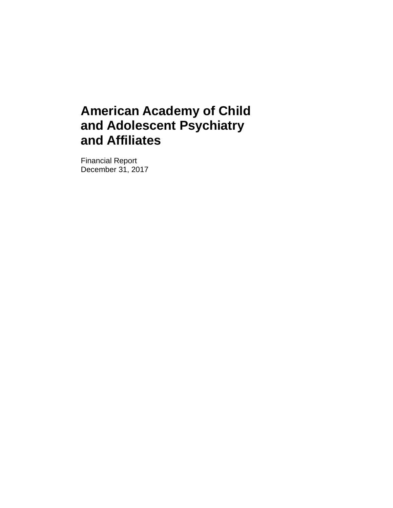Financial Report December 31, 2017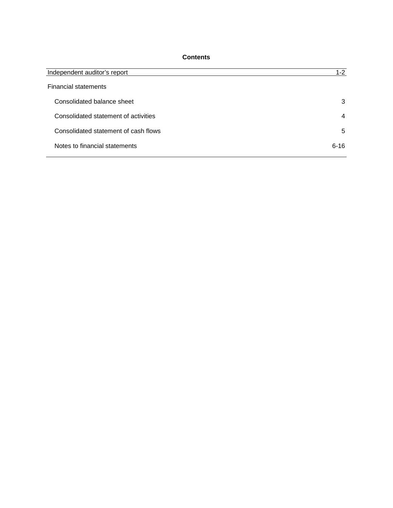# **Contents**

| Independent auditor's report         | $1-2$          |
|--------------------------------------|----------------|
| <b>Financial statements</b>          |                |
| Consolidated balance sheet           | 3              |
| Consolidated statement of activities | $\overline{4}$ |
| Consolidated statement of cash flows | 5              |
| Notes to financial statements        | $6 - 16$       |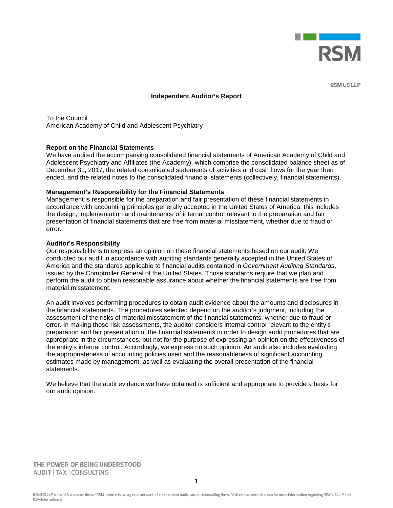

**RSM US LLP** 

#### **Independent Auditor's Report**

To the Council American Academy of Child and Adolescent Psychiatry

#### **Report on the Financial Statements**

We have audited the accompanying consolidated financial statements of American Academy of Child and Adolescent Psychiatry and Affiliates (the Academy), which comprise the consolidated balance sheet as of December 31, 2017, the related consolidated statements of activities and cash flows for the year then ended, and the related notes to the consolidated financial statements (collectively, financial statements).

#### **Management's Responsibility for the Financial Statements**

Management is responsible for the preparation and fair presentation of these financial statements in accordance with accounting principles generally accepted in the United States of America; this includes the design, implementation and maintenance of internal control relevant to the preparation and fair presentation of financial statements that are free from material misstatement, whether due to fraud or error.

#### **Auditor's Responsibility**

Our responsibility is to express an opinion on these financial statements based on our audit. We conducted our audit in accordance with auditing standards generally accepted in the United States of America and the standards applicable to financial audits contained in *Government Auditing Standards*, issued by the Comptroller General of the United States. Those standards require that we plan and perform the audit to obtain reasonable assurance about whether the financial statements are free from material misstatement.

An audit involves performing procedures to obtain audit evidence about the amounts and disclosures in the financial statements. The procedures selected depend on the auditor's judgment, including the assessment of the risks of material misstatement of the financial statements, whether due to fraud or error. In making those risk assessments, the auditor considers internal control relevant to the entity's preparation and fair presentation of the financial statements in order to design audit procedures that are appropriate in the circumstances, but not for the purpose of expressing an opinion on the effectiveness of the entity's internal control. Accordingly, we express no such opinion. An audit also includes evaluating the appropriateness of accounting policies used and the reasonableness of significant accounting estimates made by management, as well as evaluating the overall presentation of the financial statements.

We believe that the audit evidence we have obtained is sufficient and appropriate to provide a basis for our audit opinion.

THE POWER OF BEING UNDERSTOOD **AUDIT | TAX | CONSULTING**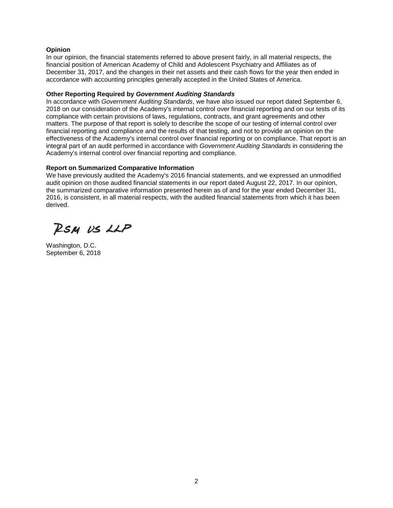## **Opinion**

In our opinion, the financial statements referred to above present fairly, in all material respects, the financial position of American Academy of Child and Adolescent Psychiatry and Affiliates as of December 31, 2017, and the changes in their net assets and their cash flows for the year then ended in accordance with accounting principles generally accepted in the United States of America.

### **Other Reporting Required by** *Government Auditing Standards*

In accordance with *Government Auditing Standards*, we have also issued our report dated September 6, 2018 on our consideration of the Academy's internal control over financial reporting and on our tests of its compliance with certain provisions of laws, regulations, contracts, and grant agreements and other matters. The purpose of that report is solely to describe the scope of our testing of internal control over financial reporting and compliance and the results of that testing, and not to provide an opinion on the effectiveness of the Academy's internal control over financial reporting or on compliance. That report is an integral part of an audit performed in accordance with *Government Auditing Standards* in considering the Academy's internal control over financial reporting and compliance.

# **Report on Summarized Comparative Information**

We have previously audited the Academy's 2016 financial statements, and we expressed an unmodified audit opinion on those audited financial statements in our report dated August 22, 2017. In our opinion, the summarized comparative information presented herein as of and for the year ended December 31, 2016, is consistent, in all material respects, with the audited financial statements from which it has been derived.

RSM US LLP

Washington, D.C. September 6, 2018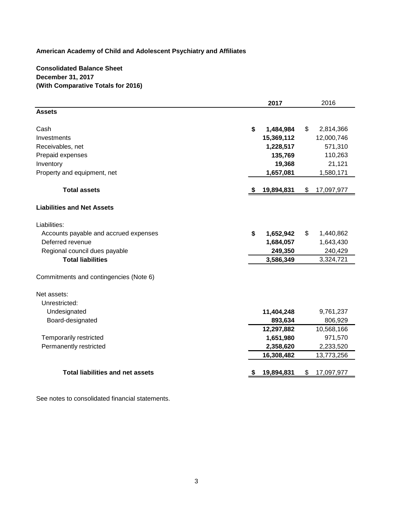# **Consolidated Balance Sheet December 31, 2017 (With Comparative Totals for 2016)**

|                                         | 2017             | 2016             |
|-----------------------------------------|------------------|------------------|
| <b>Assets</b>                           |                  |                  |
| Cash                                    | \$<br>1,484,984  | \$<br>2,814,366  |
| Investments                             | 15,369,112       | 12,000,746       |
| Receivables, net                        | 1,228,517        | 571,310          |
| Prepaid expenses                        | 135,769          | 110,263          |
| Inventory                               | 19,368           | 21,121           |
| Property and equipment, net             | 1,657,081        | 1,580,171        |
| <b>Total assets</b>                     | 19,894,831<br>S. | \$<br>17,097,977 |
| <b>Liabilities and Net Assets</b>       |                  |                  |
| Liabilities:                            |                  |                  |
| Accounts payable and accrued expenses   | \$<br>1,652,942  | \$<br>1,440,862  |
| Deferred revenue                        | 1,684,057        | 1,643,430        |
| Regional council dues payable           | 249,350          | 240,429          |
| <b>Total liabilities</b>                | 3,586,349        | 3,324,721        |
| Commitments and contingencies (Note 6)  |                  |                  |
| Net assets:                             |                  |                  |
| Unrestricted:                           |                  |                  |
| Undesignated                            | 11,404,248       | 9,761,237        |
| Board-designated                        | 893,634          | 806,929          |
|                                         | 12,297,882       | 10,568,166       |
| Temporarily restricted                  | 1,651,980        | 971,570          |
| Permanently restricted                  | 2,358,620        | 2,233,520        |
|                                         | 16,308,482       | 13,773,256       |
| <b>Total liabilities and net assets</b> | 19,894,831       | \$<br>17,097,977 |

See notes to consolidated financial statements.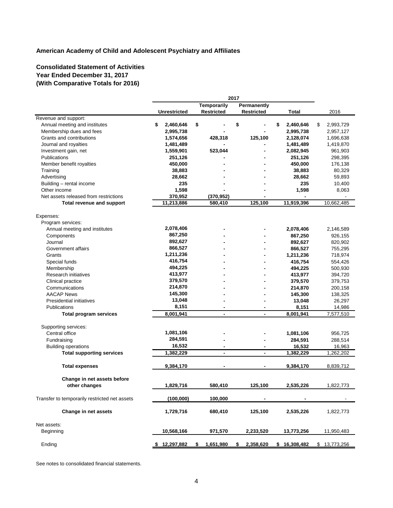# **Consolidated Statement of Activities Year Ended December 31, 2017 (With Comparative Totals for 2016)**

|                                               |                 | 2017                             |                   |                    |                     |  |  |
|-----------------------------------------------|-----------------|----------------------------------|-------------------|--------------------|---------------------|--|--|
|                                               |                 | Temporarily                      | Permanently       |                    |                     |  |  |
|                                               | Unrestricted    | <b>Restricted</b>                | <b>Restricted</b> | Total              | 2016                |  |  |
| Revenue and support:                          |                 |                                  |                   |                    |                     |  |  |
| Annual meeting and institutes                 | \$<br>2,460,646 | \$                               | \$                | \$<br>2,460,646    | \$<br>2,993,729     |  |  |
| Membership dues and fees                      | 2,995,738       |                                  |                   | 2,995,738          | 2,957,127           |  |  |
| Grants and contributions                      | 1,574,656       | 428,318                          | 125,100           | 2,128,074          | 1,696,638           |  |  |
| Journal and royalties                         | 1,481,489       |                                  |                   | 1,481,489          | 1,419,870           |  |  |
| Investment gain, net                          | 1,559,901       | 523,044                          |                   | 2,082,945          | 961,903             |  |  |
| Publications                                  | 251,126         |                                  |                   | 251,126            | 298,395             |  |  |
| Member benefit royalties                      | 450,000         |                                  |                   | 450,000            | 176,138             |  |  |
| Training                                      | 38,883          |                                  |                   | 38,883             | 80,329              |  |  |
| Advertising                                   | 28,662          |                                  |                   | 28,662             | 59,893              |  |  |
| Building - rental income                      | 235             |                                  |                   | 235                | 10,400              |  |  |
| Other income                                  | 1,598           |                                  |                   | 1,598              | 8,063               |  |  |
| Net assets released from restrictions         | 370,952         | (370, 952)                       |                   |                    |                     |  |  |
| Total revenue and support                     | 11,213,886      | 580,410                          | 125,100           | 11,919,396         | 10,662,485          |  |  |
| Expenses:                                     |                 |                                  |                   |                    |                     |  |  |
| Program services:                             |                 |                                  |                   |                    |                     |  |  |
| Annual meeting and institutes                 | 2,078,406       |                                  |                   | 2,078,406          | 2,146,589           |  |  |
| Components                                    | 867,250         |                                  |                   | 867,250            | 926,155             |  |  |
| Journal                                       | 892,627         |                                  |                   | 892,627            | 820,902             |  |  |
| Government affairs                            | 866,527         |                                  |                   | 866,527            | 755,295             |  |  |
| Grants                                        | 1,211,236       |                                  |                   | 1,211,236          | 718,974             |  |  |
|                                               | 416,754         |                                  |                   | 416.754            |                     |  |  |
| Special funds                                 | 494,225         |                                  |                   |                    | 554,426             |  |  |
| Membership                                    | 413,977         |                                  |                   | 494,225            | 500,930             |  |  |
| Research initiatives                          | 379,570         |                                  |                   | 413,977            | 394,720             |  |  |
| Clinical practice                             | 214,870         |                                  |                   | 379,570            | 379,753             |  |  |
| Communications                                | 145,300         |                                  |                   | 214,870            | 200,158             |  |  |
| <b>AACAP News</b>                             | 13,048          |                                  |                   | 145,300            | 138,325             |  |  |
| Presidential initiatives                      | 8,151           |                                  |                   | 13,048             | 26,297              |  |  |
| Publications<br><b>Total program services</b> | 8,001,941       | $\blacksquare$<br>$\blacksquare$ | $\blacksquare$    | 8,151<br>8,001,941 | 14,986<br>7,577,510 |  |  |
|                                               |                 |                                  |                   |                    |                     |  |  |
| Supporting services:                          |                 |                                  |                   |                    |                     |  |  |
| Central office                                | 1,081,106       |                                  |                   | 1,081,106          | 956,725             |  |  |
| Fundraising                                   | 284,591         |                                  |                   | 284,591            | 288,514             |  |  |
| <b>Building operations</b>                    | 16,532          | $\blacksquare$                   |                   | 16,532             | 16,963              |  |  |
| <b>Total supporting services</b>              | 1,382,229       | $\blacksquare$                   | $\overline{a}$    | 1,382,229          | 1,262,202           |  |  |
|                                               |                 |                                  |                   |                    |                     |  |  |
| <b>Total expenses</b>                         | 9,384,170       | $\blacksquare$                   |                   | 9,384,170          | 8,839,712           |  |  |
| Change in net assets before                   |                 |                                  |                   |                    |                     |  |  |
| other changes                                 | 1,829,716       | 580,410                          | 125,100           | 2,535,226          | 1,822,773           |  |  |
|                                               |                 |                                  |                   |                    |                     |  |  |
| Transfer to temporarily restricted net assets | (100,000)       | 100,000                          |                   |                    |                     |  |  |
| Change in net assets                          | 1,729,716       | 680,410                          | 125,100           | 2,535,226          | 1,822,773           |  |  |
| Net assets:                                   |                 |                                  |                   |                    |                     |  |  |
| Beginning                                     | 10,568,166      | 971,570                          | 2,233,520         | 13,773,256         | 11,950,483          |  |  |
| Ending                                        | \$12,297,882    | 1,651,980<br>\$                  | 2,358,620<br>\$   | \$16,308,482       | \$13,773,256        |  |  |

See notes to consolidated financial statements.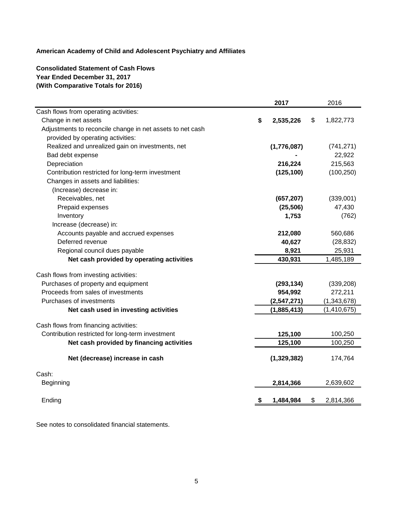# **Consolidated Statement of Cash Flows Year Ended December 31, 2017 (With Comparative Totals for 2016)**

|                                                           |           | 2017        | 2016            |
|-----------------------------------------------------------|-----------|-------------|-----------------|
| Cash flows from operating activities:                     |           |             |                 |
| Change in net assets                                      | \$        | 2,535,226   | \$<br>1,822,773 |
| Adjustments to reconcile change in net assets to net cash |           |             |                 |
| provided by operating activities:                         |           |             |                 |
| Realized and unrealized gain on investments, net          |           | (1,776,087) | (741, 271)      |
| Bad debt expense                                          |           |             | 22,922          |
| Depreciation                                              |           | 216,224     | 215,563         |
| Contribution restricted for long-term investment          |           | (125, 100)  | (100, 250)      |
| Changes in assets and liabilities:                        |           |             |                 |
| (Increase) decrease in:                                   |           |             |                 |
| Receivables, net                                          |           | (657, 207)  | (339,001)       |
| Prepaid expenses                                          |           | (25, 506)   | 47,430          |
| Inventory                                                 |           | 1,753       | (762)           |
| Increase (decrease) in:                                   |           |             |                 |
| Accounts payable and accrued expenses                     |           | 212,080     | 560,686         |
| Deferred revenue                                          |           | 40,627      | (28, 832)       |
| Regional council dues payable                             |           | 8,921       | 25,931          |
| Net cash provided by operating activities                 |           | 430,931     | 1,485,189       |
| Cash flows from investing activities:                     |           |             |                 |
| Purchases of property and equipment                       |           | (293, 134)  | (339, 208)      |
| Proceeds from sales of investments                        |           | 954,992     | 272,211         |
| Purchases of investments                                  |           | (2,547,271) | (1,343,678)     |
| Net cash used in investing activities                     |           | (1,885,413) | (1,410,675)     |
| Cash flows from financing activities:                     |           |             |                 |
| Contribution restricted for long-term investment          |           | 125,100     | 100,250         |
| Net cash provided by financing activities                 |           | 125,100     | 100,250         |
|                                                           |           |             |                 |
| Net (decrease) increase in cash                           |           | (1,329,382) | 174,764         |
| Cash:                                                     |           |             |                 |
| <b>Beginning</b>                                          |           | 2,814,366   | 2,639,602       |
| Ending                                                    | <u>\$</u> | 1,484,984   | \$<br>2,814,366 |

See notes to consolidated financial statements.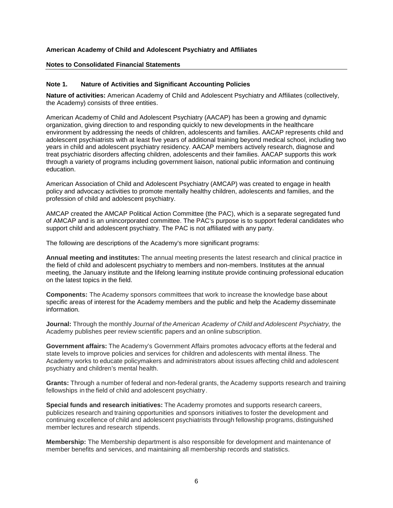#### **Notes to Consolidated Financial Statements**

# **Note 1. Nature of Activities and Significant Accounting Policies**

**Nature of activities:** American Academy of Child and Adolescent Psychiatry and Affiliates (collectively, the Academy) consists of three entities.

American Academy of Child and Adolescent Psychiatry (AACAP) has been a growing and dynamic organization, giving direction to and responding quickly to new developments in the healthcare environment by addressing the needs of children, adolescents and families. AACAP represents child and adolescent psychiatrists with at least five years of additional training beyond medical school, including two years in child and adolescent psychiatry residency. AACAP members actively research, diagnose and treat psychiatric disorders affecting children, adolescents and their families. AACAP supports this work through a variety of programs including government liaison, national public information and continuing education.

American Association of Child and Adolescent Psychiatry (AMCAP) was created to engage in health policy and advocacy activities to promote mentally healthy children, adolescents and families, and the profession of child and adolescent psychiatry.

AMCAP created the AMCAP Political Action Committee (the PAC), which is a separate segregated fund of AMCAP and is an unincorporated committee. The PAC's purpose is to support federal candidates who support child and adolescent psychiatry. The PAC is not affiliated with any party.

The following are descriptions of the Academy's more significant programs:

**Annual meeting and institutes:** The annual meeting presents the latest research and clinical practice in the field of child and adolescent psychiatry to members and non-members. Institutes at the annual meeting, the January institute and the lifelong learning institute provide continuing professional education on the latest topics in the field.

**Components:** The Academy sponsors committees that work to increase the knowledge base about specific areas of interest for the Academy members and the public and help the Academy disseminate information.

**Journal:** Through the monthly *Journal of the American Academy of Child and Adolescent Psychiatry,* the Academy publishes peer review scientific papers and an online subscription.

**Government affairs:** The Academy's Government Affairs promotes advocacy efforts at the federal and state levels to improve policies and services for children and adolescents with mental illness. The Academy works to educate policymakers and administrators about issues affecting child and adolescent psychiatry and children's mental health.

**Grants:** Through a number of federal and non-federal grants, the Academy supports research and training fellowships in the field of child and adolescent psychiatry.

**Special funds and research initiatives:** The Academy promotes and supports research careers, publicizes research and training opportunities and sponsors initiatives to foster the development and continuing excellence of child and adolescent psychiatrists through fellowship programs, distinguished member lectures and research stipends.

**Membership:** The Membership department is also responsible for development and maintenance of member benefits and services, and maintaining all membership records and statistics.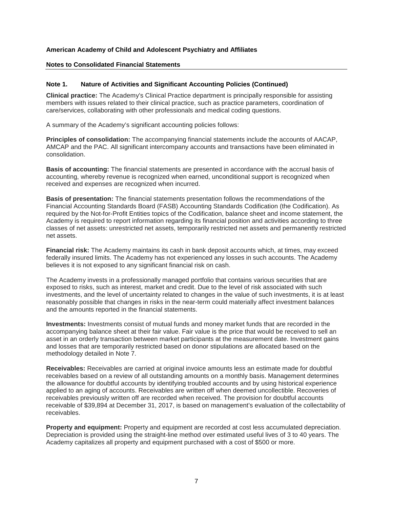#### **Notes to Consolidated Financial Statements**

# **Note 1. Nature of Activities and Significant Accounting Policies (Continued)**

**Clinical practice:** The Academy's Clinical Practice department is principally responsible for assisting members with issues related to their clinical practice, such as practice parameters, coordination of care/services, collaborating with other professionals and medical coding questions.

A summary of the Academy's significant accounting policies follows:

**Principles of consolidation:** The accompanying financial statements include the accounts of AACAP, AMCAP and the PAC. All significant intercompany accounts and transactions have been eliminated in consolidation.

**Basis of accounting:** The financial statements are presented in accordance with the accrual basis of accounting, whereby revenue is recognized when earned, unconditional support is recognized when received and expenses are recognized when incurred.

**Basis of presentation:** The financial statements presentation follows the recommendations of the Financial Accounting Standards Board (FASB) Accounting Standards Codification (the Codification). As required by the Not-for-Profit Entities topics of the Codification, balance sheet and income statement, the Academy is required to report information regarding its financial position and activities according to three classes of net assets: unrestricted net assets, temporarily restricted net assets and permanently restricted net assets.

**Financial risk:** The Academy maintains its cash in bank deposit accounts which, at times, may exceed federally insured limits. The Academy has not experienced any losses in such accounts. The Academy believes it is not exposed to any significant financial risk on cash.

The Academy invests in a professionally managed portfolio that contains various securities that are exposed to risks, such as interest, market and credit. Due to the level of risk associated with such investments, and the level of uncertainty related to changes in the value of such investments, it is at least reasonably possible that changes in risks in the near-term could materially affect investment balances and the amounts reported in the financial statements.

**Investments:** Investments consist of mutual funds and money market funds that are recorded in the accompanying balance sheet at their fair value. Fair value is the price that would be received to sell an asset in an orderly transaction between market participants at the measurement date. Investment gains and losses that are temporarily restricted based on donor stipulations are allocated based on the methodology detailed in Note 7.

**Receivables:** Receivables are carried at original invoice amounts less an estimate made for doubtful receivables based on a review of all outstanding amounts on a monthly basis. Management determines the allowance for doubtful accounts by identifying troubled accounts and by using historical experience applied to an aging of accounts. Receivables are written off when deemed uncollectible. Recoveries of receivables previously written off are recorded when received. The provision for doubtful accounts receivable of \$39,894 at December 31, 2017, is based on management's evaluation of the collectability of receivables.

**Property and equipment:** Property and equipment are recorded at cost less accumulated depreciation. Depreciation is provided using the straight-line method over estimated useful lives of 3 to 40 years. The Academy capitalizes all property and equipment purchased with a cost of \$500 or more.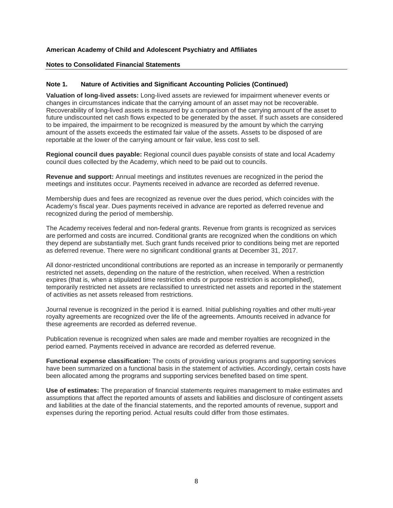#### **Notes to Consolidated Financial Statements**

#### **Note 1. Nature of Activities and Significant Accounting Policies (Continued)**

**Valuation of long-lived assets:** Long-lived assets are reviewed for impairment whenever events or changes in circumstances indicate that the carrying amount of an asset may not be recoverable. Recoverability of long-lived assets is measured by a comparison of the carrying amount of the asset to future undiscounted net cash flows expected to be generated by the asset. If such assets are considered to be impaired, the impairment to be recognized is measured by the amount by which the carrying amount of the assets exceeds the estimated fair value of the assets. Assets to be disposed of are reportable at the lower of the carrying amount or fair value, less cost to sell.

**Regional council dues payable:** Regional council dues payable consists of state and local Academy council dues collected by the Academy, which need to be paid out to councils.

**Revenue and support:** Annual meetings and institutes revenues are recognized in the period the meetings and institutes occur. Payments received in advance are recorded as deferred revenue.

Membership dues and fees are recognized as revenue over the dues period, which coincides with the Academy's fiscal year. Dues payments received in advance are reported as deferred revenue and recognized during the period of membership.

The Academy receives federal and non-federal grants. Revenue from grants is recognized as services are performed and costs are incurred. Conditional grants are recognized when the conditions on which they depend are substantially met. Such grant funds received prior to conditions being met are reported as deferred revenue. There were no significant conditional grants at December 31, 2017.

All donor-restricted unconditional contributions are reported as an increase in temporarily or permanently restricted net assets, depending on the nature of the restriction, when received. When a restriction expires (that is, when a stipulated time restriction ends or purpose restriction is accomplished), temporarily restricted net assets are reclassified to unrestricted net assets and reported in the statement of activities as net assets released from restrictions.

Journal revenue is recognized in the period it is earned. Initial publishing royalties and other multi-year royalty agreements are recognized over the life of the agreements. Amounts received in advance for these agreements are recorded as deferred revenue.

Publication revenue is recognized when sales are made and member royalties are recognized in the period earned. Payments received in advance are recorded as deferred revenue.

**Functional expense classification:** The costs of providing various programs and supporting services have been summarized on a functional basis in the statement of activities. Accordingly, certain costs have been allocated among the programs and supporting services benefited based on time spent.

**Use of estimates:** The preparation of financial statements requires management to make estimates and assumptions that affect the reported amounts of assets and liabilities and disclosure of contingent assets and liabilities at the date of the financial statements, and the reported amounts of revenue, support and expenses during the reporting period. Actual results could differ from those estimates.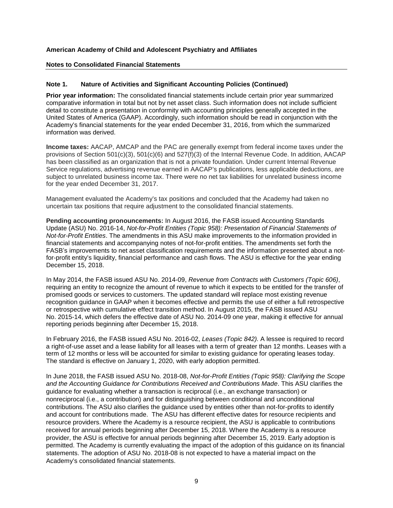### **Notes to Consolidated Financial Statements**

### **Note 1. Nature of Activities and Significant Accounting Policies (Continued)**

**Prior year information:** The consolidated financial statements include certain prior year summarized comparative information in total but not by net asset class. Such information does not include sufficient detail to constitute a presentation in conformity with accounting principles generally accepted in the United States of America (GAAP). Accordingly, such information should be read in conjunction with the Academy's financial statements for the year ended December 31, 2016, from which the summarized information was derived.

**Income taxes:** AACAP, AMCAP and the PAC are generally exempt from federal income taxes under the provisions of Section 501(c)(3), 501(c)(6) and 527(f)(3) of the Internal Revenue Code. In addition, AACAP has been classified as an organization that is not a private foundation. Under current Internal Revenue Service regulations, advertising revenue earned in AACAP's publications, less applicable deductions, are subject to unrelated business income tax. There were no net tax liabilities for unrelated business income for the year ended December 31, 2017.

Management evaluated the Academy's tax positions and concluded that the Academy had taken no uncertain tax positions that require adjustment to the consolidated financial statements.

**Pending accounting pronouncements:** In August 2016, the FASB issued Accounting Standards Update (ASU) No. 2016-14, *Not-for-Profit Entities (Topic 958): Presentation of Financial Statements of Not-for-Profit Entities*. The amendments in this ASU make improvements to the information provided in financial statements and accompanying notes of not-for-profit entities. The amendments set forth the FASB's improvements to net asset classification requirements and the information presented about a notfor-profit entity's liquidity, financial performance and cash flows. The ASU is effective for the year ending December 15, 2018.

In May 2014, the FASB issued ASU No. 2014-09, *Revenue from Contracts with Customers (Topic 606)*, requiring an entity to recognize the amount of revenue to which it expects to be entitled for the transfer of promised goods or services to customers. The updated standard will replace most existing revenue recognition guidance in GAAP when it becomes effective and permits the use of either a full retrospective or retrospective with cumulative effect transition method. In August 2015, the FASB issued ASU No. 2015-14, which defers the effective date of ASU No. 2014-09 one year, making it effective for annual reporting periods beginning after December 15, 2018.

In February 2016, the FASB issued ASU No. 2016-02, *Leases (Topic 842).* A lessee is required to record a right-of-use asset and a lease liability for all leases with a term of greater than 12 months. Leases with a term of 12 months or less will be accounted for similar to existing guidance for operating leases today. The standard is effective on January 1, 2020, with early adoption permitted.

In June 2018, the FASB issued ASU No. 2018-08, *Not-for-Profit Entities (Topic 958): Clarifying the Scope and the Accounting Guidance for Contributions Received and Contributions Made*. This ASU clarifies the guidance for evaluating whether a transaction is reciprocal (i.e., an exchange transaction) or nonreciprocal (i.e., a contribution) and for distinguishing between conditional and unconditional contributions. The ASU also clarifies the guidance used by entities other than not-for-profits to identify and account for contributions made. The ASU has different effective dates for resource recipients and resource providers. Where the Academy is a resource recipient, the ASU is applicable to contributions received for annual periods beginning after December 15, 2018. Where the Academy is a resource provider, the ASU is effective for annual periods beginning after December 15, 2019. Early adoption is permitted. The Academy is currently evaluating the impact of the adoption of this guidance on its financial statements. The adoption of ASU No. 2018-08 is not expected to have a material impact on the Academy's consolidated financial statements.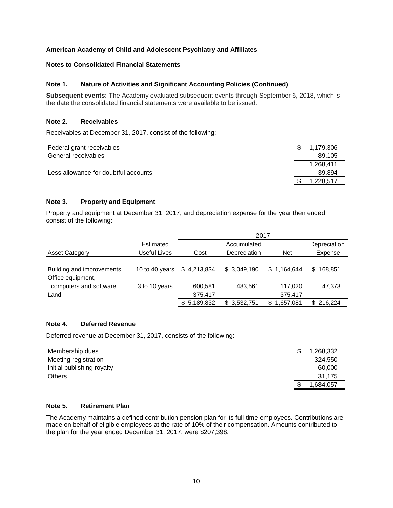# **Notes to Consolidated Financial Statements**

# **Note 1. Nature of Activities and Significant Accounting Policies (Continued)**

**Subsequent events:** The Academy evaluated subsequent events through September 6, 2018, which is the date the consolidated financial statements were available to be issued.

### **Note 2. Receivables**

Receivables at December 31, 2017, consist of the following:

| Federal grant receivables            | \$ 1.179.306 |
|--------------------------------------|--------------|
| General receivables                  | 89.105       |
|                                      | 1.268.411    |
| Less allowance for doubtful accounts | 39.894       |
|                                      | .228.517     |

# **Note 3. Property and Equipment**

Property and equipment at December 31, 2017, and depreciation expense for the year then ended, consist of the following:

|                           |                | 2017        |              |                  |              |  |  |  |  |  |
|---------------------------|----------------|-------------|--------------|------------------|--------------|--|--|--|--|--|
|                           | Estimated      |             | Accumulated  |                  | Depreciation |  |  |  |  |  |
| <b>Asset Category</b>     | Useful Lives   | Cost        | Depreciation | <b>Net</b>       | Expense      |  |  |  |  |  |
|                           |                |             |              |                  |              |  |  |  |  |  |
| Building and improvements | 10 to 40 years | \$4,213,834 | \$3,049,190  | \$1,164,644      | \$168,851    |  |  |  |  |  |
| Office equipment,         |                |             |              |                  |              |  |  |  |  |  |
| computers and software    | 3 to 10 years  | 600,581     | 483,561      | 117,020          | 47,373       |  |  |  |  |  |
| Land                      |                | 375,417     |              | 375,417          |              |  |  |  |  |  |
|                           |                | \$5,189,832 | \$3,532,751  | 1,657,081<br>\$. | \$216,224    |  |  |  |  |  |

#### **Note 4. Deferred Revenue**

Deferred revenue at December 31, 2017, consists of the following:

| Membership dues            | 1,268,332 |
|----------------------------|-----------|
| Meeting registration       | 324.550   |
| Initial publishing royalty | 60,000    |
| <b>Others</b>              | 31.175    |
|                            | ,684,057  |

### **Note 5. Retirement Plan**

The Academy maintains a defined contribution pension plan for its full-time employees. Contributions are made on behalf of eligible employees at the rate of 10% of their compensation. Amounts contributed to the plan for the year ended December 31, 2017, were \$207,398.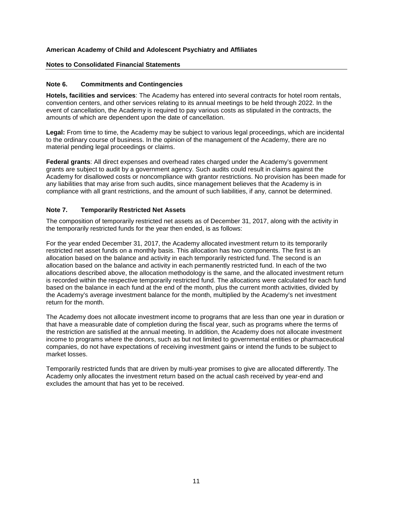### **Notes to Consolidated Financial Statements**

### **Note 6. Commitments and Contingencies**

**Hotels, facilities and services**: The Academy has entered into several contracts for hotel room rentals, convention centers, and other services relating to its annual meetings to be held through 2022. In the event of cancellation, the Academy is required to pay various costs as stipulated in the contracts, the amounts of which are dependent upon the date of cancellation.

**Legal:** From time to time, the Academy may be subject to various legal proceedings, which are incidental to the ordinary course of business. In the opinion of the management of the Academy, there are no material pending legal proceedings or claims.

**Federal grants**: All direct expenses and overhead rates charged under the Academy's government grants are subject to audit by a government agency. Such audits could result in claims against the Academy for disallowed costs or noncompliance with grantor restrictions. No provision has been made for any liabilities that may arise from such audits, since management believes that the Academy is in compliance with all grant restrictions, and the amount of such liabilities, if any, cannot be determined.

# **Note 7. Temporarily Restricted Net Assets**

The composition of temporarily restricted net assets as of December 31, 2017, along with the activity in the temporarily restricted funds for the year then ended, is as follows:

For the year ended December 31, 2017, the Academy allocated investment return to its temporarily restricted net asset funds on a monthly basis. This allocation has two components. The first is an allocation based on the balance and activity in each temporarily restricted fund. The second is an allocation based on the balance and activity in each permanently restricted fund. In each of the two allocations described above, the allocation methodology is the same, and the allocated investment return is recorded within the respective temporarily restricted fund. The allocations were calculated for each fund based on the balance in each fund at the end of the month, plus the current month activities, divided by the Academy's average investment balance for the month, multiplied by the Academy's net investment return for the month.

The Academy does not allocate investment income to programs that are less than one year in duration or that have a measurable date of completion during the fiscal year, such as programs where the terms of the restriction are satisfied at the annual meeting. In addition, the Academy does not allocate investment income to programs where the donors, such as but not limited to governmental entities or pharmaceutical companies, do not have expectations of receiving investment gains or intend the funds to be subject to market losses.

Temporarily restricted funds that are driven by multi-year promises to give are allocated differently. The Academy only allocates the investment return based on the actual cash received by year-end and excludes the amount that has yet to be received.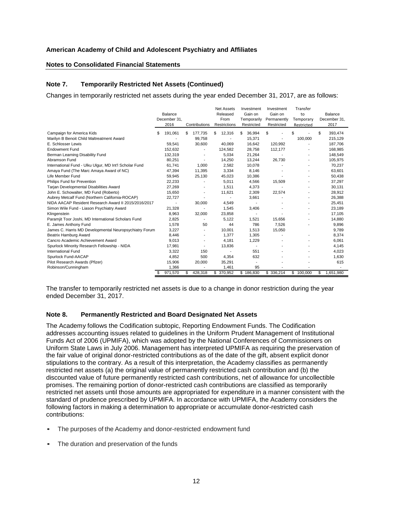#### **Notes to Consolidated Financial Statements**

### **Note 7. Temporarily Restricted Net Assets (Continued)**

Changes in temporarily restricted net assets during the year ended December 31, 2017, are as follows:

|                                                        |               |                          | <b>Net Assets</b> | Investment   | Investment  | Transfer   |    |              |
|--------------------------------------------------------|---------------|--------------------------|-------------------|--------------|-------------|------------|----|--------------|
|                                                        | Balance       |                          | Released          | Gain on      | Gain on     | to         |    | Balance      |
|                                                        | December 31,  |                          | From              | Temporarily  | Permanently | Temporary  |    | December 31, |
|                                                        | 2016          | Contributions            | Restrictions      | Restricted   | Restricted  | Restricted |    | 2017         |
| Campaign for America Kids                              | 191,061<br>\$ | \$<br>177,735            | \$<br>12,316      | 36,994<br>\$ | S           | \$         | S  | 393,474      |
| Marilyn B Benoit Child Maltreatment Award              |               | 99,758                   |                   | 15,371       |             | 100,000    |    | 215,129      |
| E. Schlosser Lewis                                     | 59,541        | 30,600                   | 40,069            | 16.642       | 120.992     |            |    | 187,706      |
| <b>Endowment Fund</b>                                  | 152,632       |                          | 124,582           | 28,758       | 112,177     |            |    | 168,985      |
| Berman Learning Disability Fund                        | 132,319       |                          | 5,034             | 21,264       |             |            |    | 148,549      |
| Abramson Fund                                          | 80,251        | $\blacksquare$           | 14,250            | 13,244       | 26,730      |            |    | 105,975      |
| International Fund - Ulku Ulgur, MD Int'l Scholar Fund | 61,741        | 1,000                    | 2,582             | 10,078       |             |            |    | 70,237       |
| Amaya Fund (The Marc Amaya Award of NC)                | 47,394        | 11,395                   | 3,334             | 8,146        |             |            |    | 63,601       |
| Life Member Fund                                       | 59,945        | 25,130                   | 45,023            | 10,386       |             |            |    | 50,438       |
| Philips Fund for Prevention                            | 22,233        |                          | 5,011             | 4,566        | 15,509      |            |    | 37,297       |
| Tarjan Developmental Disabilities Award                | 27,269        |                          | 1,511             | 4,373        |             |            |    | 30,131       |
| John E. Schowalter, MD Fund (Roberto)                  | 15,650        |                          | 11,621            | 2,309        | 22,574      |            |    | 28,912       |
| Aubrey Metcalf Fund (Northern California-ROCAP)        | 22,727        |                          |                   | 3,661        |             |            |    | 26,388       |
| NIDA AACAP Resident Research Award II 2015/2016/2017   |               | 30,000                   | 4,549             |              |             |            |    | 25,451       |
| Simon Wile Fund - Liason Psychiatry Award              | 21,328        | $\blacksquare$           | 1,545             | 3,406        |             |            |    | 23,189       |
| Klingenstein                                           | 8,963         | 32,000                   | 23,858            |              |             |            |    | 17,105       |
| Paramjit Toor Joshi, MD International Scholars Fund    | 2,825         | $\overline{\phantom{a}}$ | 5,122             | 1,521        | 15,656      |            |    | 14,880       |
| E. James Anthony Fund                                  | 1,578         | 50                       | 44                | 786          | 7,526       |            |    | 9,896        |
| James C. Harris MD Developmental Neuropsychiatry Forum | 3,227         |                          | 10,001            | 1,513        | 15,050      |            |    | 9,789        |
| Beatrix Hamburg Award                                  | 8,446         | $\blacksquare$           | 1,377             | 1,305        |             |            |    | 8,374        |
| Cancro Academic Achievement Award                      | 9,013         |                          | 4,181             | 1,229        |             |            |    | 6,061        |
| Spurlock Minority Research Fellowship - NIDA           | 17,981        |                          | 13,836            |              |             |            |    | 4,145        |
| <b>International Fund</b>                              | 3,322         | 150                      |                   | 551          |             |            |    | 4,023        |
| Spurlock Fund-AACAP                                    | 4,852         | 500                      | 4,354             | 632          |             |            |    | 1,630        |
| Pilot Research Awards (Pfizer)                         | 15,906        | 20,000                   | 35,291            |              |             |            |    | 615          |
| Robinson/Cunningham                                    | 1,366         |                          | 1,461             | 95           |             |            |    |              |
|                                                        | 971,570       | \$<br>428,318            | \$ 370,952        | \$186,830    | \$ 336,214  | \$100,000  | \$ | 1,651,980    |

The transfer to temporarily restricted net assets is due to a change in donor restriction during the year ended December 31, 2017.

#### **Note 8. Permanently Restricted and Board Designated Net Assets**

The Academy follows the Codification subtopic, Reporting Endowment Funds. The Codification addresses accounting issues related to guidelines in the Uniform Prudent Management of Institutional Funds Act of 2006 (UPMIFA), which was adopted by the National Conferences of Commissioners on Uniform State Laws in July 2006. Management has interpreted UPMIFA as requiring the preservation of the fair value of original donor-restricted contributions as of the date of the gift, absent explicit donor stipulations to the contrary. As a result of this interpretation, the Academy classifies as permanently restricted net assets (a) the original value of permanently restricted cash contribution and (b) the discounted value of future permanently restricted cash contributions, net of allowance for uncollectible promises. The remaining portion of donor-restricted cash contributions are classified as temporarily restricted net assets until those amounts are appropriated for expenditure in a manner consistent with the standard of prudence prescribed by UPMIFA. In accordance with UPMIFA, the Academy considers the following factors in making a determination to appropriate or accumulate donor-restricted cash contributions:

- The purposes of the Academy and donor-restricted endowment fund
- The duration and preservation of the funds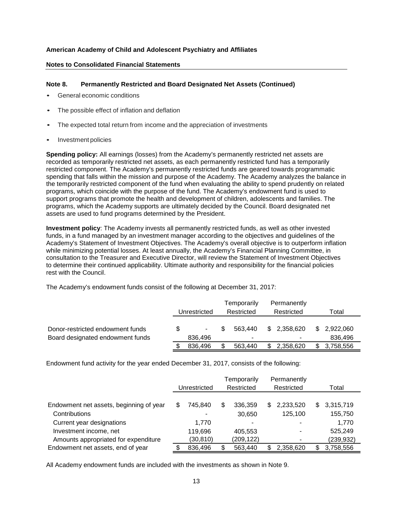#### **Notes to Consolidated Financial Statements**

# **Note 8. Permanently Restricted and Board Designated Net Assets (Continued)**

- General economic conditions
- The possible effect of inflation and deflation
- The expected total return from income and the appreciation of investments
- Investment policies

**Spending policy:** All earnings (losses) from the Academy's permanently restricted net assets are recorded as temporarily restricted net assets, as each permanently restricted fund has a temporarily restricted component. The Academy's permanently restricted funds are geared towards programmatic spending that falls within the mission and purpose of the Academy. The Academy analyzes the balance in the temporarily restricted component of the fund when evaluating the ability to spend prudently on related programs, which coincide with the purpose of the fund. The Academy's endowment fund is used to support programs that promote the health and development of children, adolescents and families. The programs, which the Academy supports are ultimately decided by the Council. Board designated net assets are used to fund programs determined by the President.

**Investment policy**: The Academy invests all permanently restricted funds, as well as other invested funds, in a fund managed by an investment manager according to the objectives and guidelines of the Academy's Statement of Investment Objectives. The Academy's overall objective is to outperform inflation while minimizing potential losses. At least annually, the Academy's Financial Planning Committee, in consultation to the Treasurer and Executive Director, will review the Statement of Investment Objectives to determine their continued applicability. Ultimate authority and responsibility for the financial policies rest with the Council.

The Academy's endowment funds consist of the following at December 31, 2017:

|                                                                      | Unrestricted  |     | Temporarily<br>Restricted | Permanently<br>Restricted | Total                   |
|----------------------------------------------------------------------|---------------|-----|---------------------------|---------------------------|-------------------------|
| Donor-restricted endowment funds<br>Board designated endowment funds | ۰.<br>836,496 | \$. | 563.440<br>-              | \$2,358,620<br>۰          | \$ 2.922,060<br>836,496 |
|                                                                      | 836.496       |     | 563.440                   | 2,358,620                 | 3,758,556               |

Endowment fund activity for the year ended December 31, 2017, consists of the following:

|                                         | Unrestricted |          | Temporarily<br>Restricted |            | Permanently<br>Restricted |           |     | Total      |
|-----------------------------------------|--------------|----------|---------------------------|------------|---------------------------|-----------|-----|------------|
| Endowment net assets, beginning of year |              | 745.840  | \$                        | 336.359    | \$.                       | 2,233,520 | \$. | 3,315,719  |
| Contributions                           |              |          |                           | 30,650     |                           | 125,100   |     | 155,750    |
| Current year designations               |              | 1.770    |                           |            |                           | ۰         |     | 1,770      |
| Investment income, net                  |              | 119,696  |                           | 405,553    |                           | ۰         |     | 525,249    |
| Amounts appropriated for expenditure    |              | (30,810) |                           | (209, 122) |                           | ۰         |     | (239, 932) |
| Endowment net assets, end of year       |              | 836,496  | \$                        | 563,440    |                           | 2,358,620 | S   | 3,758,556  |

All Academy endowment funds are included with the investments as shown in Note 9.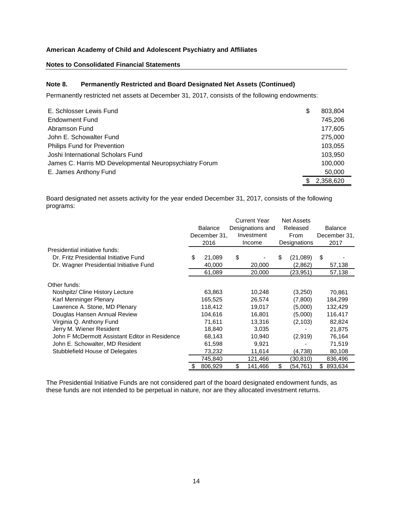### **Notes to Consolidated Financial Statements**

# **Note 8. Permanently Restricted and Board Designated Net Assets (Continued)**

Permanently restricted net assets at December 31, 2017, consists of the following endowments:

| E. Schlosser Lewis Fund                                | \$<br>803,804 |
|--------------------------------------------------------|---------------|
| Endowment Fund                                         | 745,206       |
| Abramson Fund                                          | 177,605       |
| John E. Schowalter Fund                                | 275,000       |
| Philips Fund for Prevention                            | 103,055       |
| Joshi International Scholars Fund                      | 103,950       |
| James C. Harris MD Developmental Neuropsychiatry Forum | 100,000       |
| E. James Anthony Fund                                  | 50,000        |
|                                                        | 2,358,620     |

Board designated net assets activity for the year ended December 31, 2017, consists of the following programs:

|                                                |                |                  | <b>Current Year</b> | <b>Net Assets</b> |    |                |
|------------------------------------------------|----------------|------------------|---------------------|-------------------|----|----------------|
|                                                | <b>Balance</b> | Designations and |                     | Released          |    | <b>Balance</b> |
|                                                | December 31,   |                  | Investment          | <b>From</b>       |    | December 31,   |
|                                                | 2016           |                  | Income              | Designations      |    | 2017           |
| Presidential initiative funds:                 |                |                  |                     |                   |    |                |
| Dr. Fritz Presidential Initiative Fund         | \$<br>21,089   | \$               |                     | \$<br>(21,089)    | \$ |                |
| Dr. Wagner Presidential Initiative Fund        | 40,000         |                  | 20,000              | (2,862)           |    | 57,138         |
|                                                | 61,089         |                  | 20,000              | (23,951)          |    | 57,138         |
| Other funds:                                   |                |                  |                     |                   |    |                |
| Noshpitz/ Cline History Lecture                | 63,863         |                  | 10,248              | (3,250)           |    | 70,861         |
| Karl Menninger Plenary                         | 165,525        |                  | 26,574              | (7,800)           |    | 184,299        |
| Lawrence A. Stone, MD Plenary                  | 118,412        |                  | 19.017              | (5,000)           |    | 132,429        |
| Douglas Hansen Annual Review                   | 104,616        |                  | 16,801              | (5,000)           |    | 116,417        |
| Virginia Q. Anthony Fund                       | 71,611         |                  | 13,316              | (2, 103)          |    | 82,824         |
| Jerry M. Wiener Resident                       | 18,840         |                  | 3,035               |                   |    | 21,875         |
| John F McDermott Assistant Editor in Residence | 68,143         |                  | 10,940              | (2,919)           |    | 76,164         |
| John E. Schowalter, MD Resident                | 61,598         |                  | 9,921               |                   |    | 71,519         |
| Stubblefield House of Delegates                | 73,232         |                  | 11,614              | (4,738)           |    | 80,108         |
|                                                | 745,840        |                  | 121,466             | (30,810)          |    | 836,496        |
|                                                | 806,929        | \$               | 141,466             | \$<br>(54,761)    |    | \$893,634      |

The Presidential Initiative Funds are not considered part of the board designated endowment funds, as these funds are not intended to be perpetual in nature, nor are they allocated investment returns.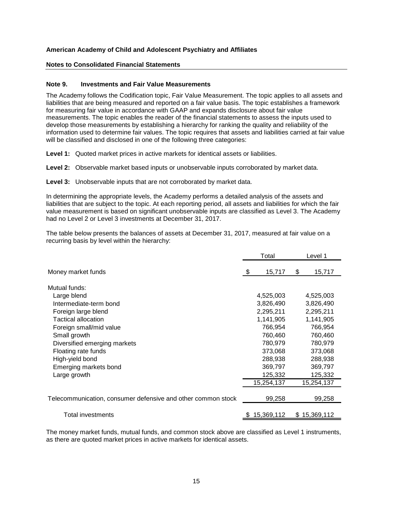#### **Notes to Consolidated Financial Statements**

#### **Note 9. Investments and Fair Value Measurements**

The Academy follows the Codification topic, Fair Value Measurement. The topic applies to all assets and liabilities that are being measured and reported on a fair value basis. The topic establishes a framework for measuring fair value in accordance with GAAP and expands disclosure about fair value measurements. The topic enables the reader of the financial statements to assess the inputs used to develop those measurements by establishing a hierarchy for ranking the quality and reliability of the information used to determine fair values. The topic requires that assets and liabilities carried at fair value will be classified and disclosed in one of the following three categories:

**Level 1:** Quoted market prices in active markets for identical assets or liabilities.

**Level 2:** Observable market based inputs or unobservable inputs corroborated by market data.

**Level 3:** Unobservable inputs that are not corroborated by market data.

In determining the appropriate levels, the Academy performs a detailed analysis of the assets and liabilities that are subject to the topic. At each reporting period, all assets and liabilities for which the fair value measurement is based on significant unobservable inputs are classified as Level 3. The Academy had no Level 2 or Level 3 investments at December 31, 2017.

The table below presents the balances of assets at December 31, 2017, measured at fair value on a recurring basis by level within the hierarchy:

|                                                              | Total |            | Level 1      |  |
|--------------------------------------------------------------|-------|------------|--------------|--|
| Money market funds                                           | \$    | 15,717     | \$<br>15,717 |  |
| Mutual funds:                                                |       |            |              |  |
| Large blend                                                  |       | 4,525,003  | 4,525,003    |  |
| Intermediate-term bond                                       |       | 3,826,490  | 3,826,490    |  |
| Foreign large blend                                          |       | 2,295,211  | 2,295,211    |  |
| Tactical allocation                                          |       | 1,141,905  | 1,141,905    |  |
| Foreign small/mid value                                      |       | 766,954    | 766,954      |  |
| Small growth                                                 |       | 760,460    | 760,460      |  |
| Diversified emerging markets                                 |       | 780,979    | 780,979      |  |
| Floating rate funds                                          |       | 373,068    | 373,068      |  |
| High-yield bond                                              |       | 288,938    | 288,938      |  |
| Emerging markets bond                                        |       | 369,797    | 369,797      |  |
| Large growth                                                 |       | 125,332    | 125,332      |  |
|                                                              |       | 15,254,137 | 15,254,137   |  |
| Telecommunication, consumer defensive and other common stock |       | 99,258     | 99,258       |  |
| Total investments                                            |       | 15,369,112 | \$15,369,112 |  |

The money market funds, mutual funds, and common stock above are classified as Level 1 instruments, as there are quoted market prices in active markets for identical assets.